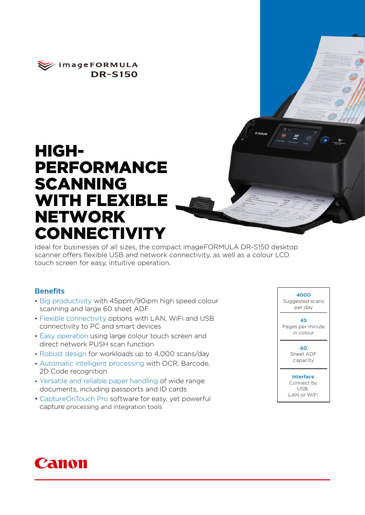

# HIGH-PERFORMANCE SCANNING WITH FLEXIBLE NETWORK **CONNECTIVITY**

Ideal for businesses of all sizes, the compact imageFORMULA DR-S150 desktop scanner offers flexible USB and network connectivity, as well as a colour LCD touch screen for easy, intuitive operation.

#### **Benefits**

- Big productivity with 45ppm/90ipm high speed colour scanning and large 60 sheet ADF
- Flexible connectivity options with LAN, WiFi and USB connectivity to PC and smart devices
- Easy operation using large colour touch screen and direct network PUSH scan function
- Robust design for workloads up to 4,000 scans/day
- Automatic intelligent processing with OCR, Barcode, 2D Code recognition
- Versatile and reliable paper handling of wide range documents, including passports and ID cards
- CaptureOnTouch Pro software for easy, yet powerful capture processing and integration tools



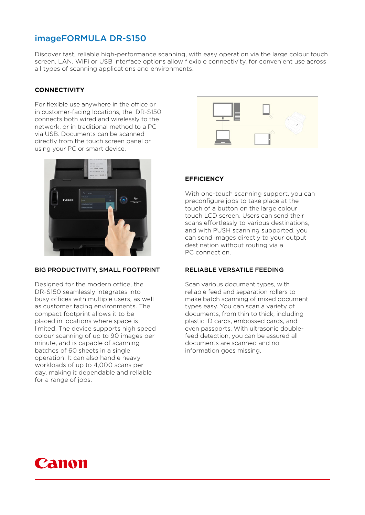## imageFORMULA DR-S150

Discover fast, reliable high-performance scanning, with easy operation via the large colour touch screen. LAN, WiFi or USB interface options allow flexible connectivity, for convenient use across all types of scanning applications and environments.

#### **CONNECTIVITY**

For flexible use anywhere in the office or in customer-facing locations, the DR-S150 connects both wired and wirelessly to the network, or in traditional method to a PC via USB. Documents can be scanned directly from the touch screen panel or using your PC or smart device.



#### BIG PRODUCTIVITY, SMALL FOOTPRINT

Designed for the modern office, the DR-S150 seamlessly integrates into busy offices with multiple users, as well as customer facing environments. The compact footprint allows it to be placed in locations where space is limited. The device supports high speed colour scanning of up to 90 images per minute, and is capable of scanning batches of 60 sheets in a single operation. It can also handle heavy workloads of up to 4,000 scans per day, making it dependable and reliable for a range of jobs.



#### **EFFICIENCY**

With one-touch scanning support, you can preconfigure jobs to take place at the touch of a button on the large colour touch LCD screen. Users can send their scans effortlessly to various destinations, and with PUSH scanning supported, you can send images directly to your output destination without routing via a PC connection.

#### RELIABLE VERSATILE FEEDING

Scan various document types, with reliable feed and separation rollers to make batch scanning of mixed document types easy. You can scan a variety of documents, from thin to thick, including plastic ID cards, embossed cards, and even passports. With ultrasonic doublefeed detection, you can be assured all documents are scanned and no information goes missing.

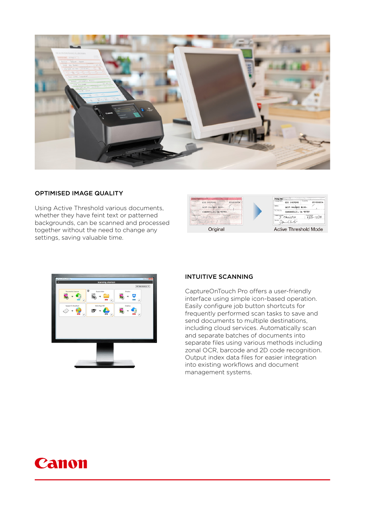

#### OPTIMISED IMAGE QUALITY

Using Active Threshold various documents, whether they have feint text or patterned backgrounds, can be scanned and processed together without the need to change any settings, saving valuable time.





#### INTUITIVE SCANNING

CaptureOnTouch Pro offers a user-friendly interface using simple icon-based operation. Easily configure job button shortcuts for frequently performed scan tasks to save and send documents to multiple destinations, including cloud services. Automatically scan and separate batches of documents into separate files using various methods including zonal OCR, barcode and 2D code recognition. Output index data files for easier integration into existing workflows and document management systems.

## Canon